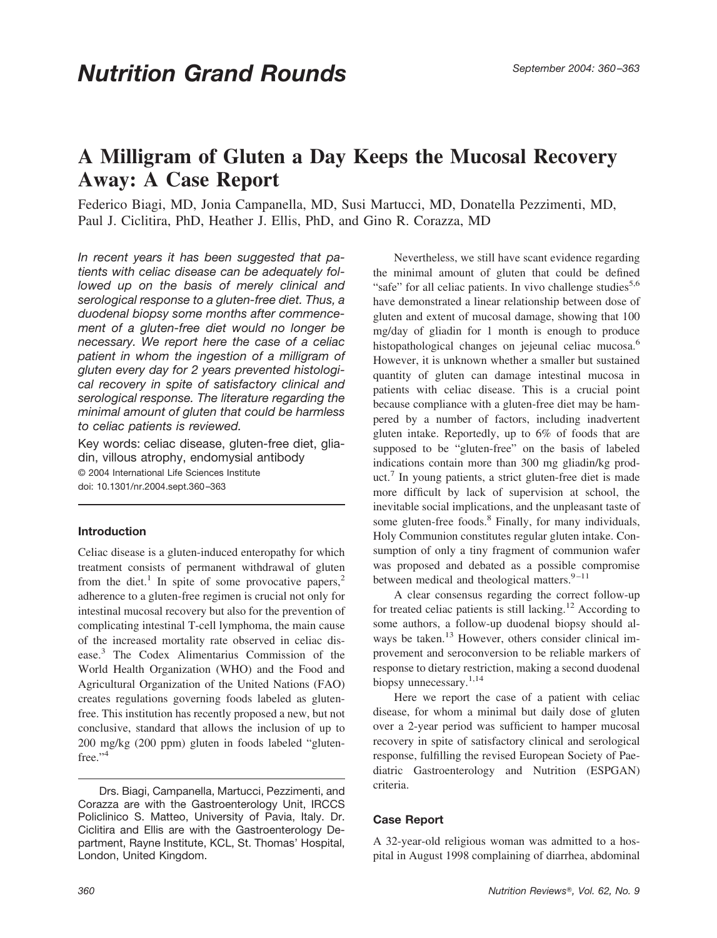## **A Milligram of Gluten a Day Keeps the Mucosal Recovery Away: A Case Report**

Federico Biagi, MD, Jonia Campanella, MD, Susi Martucci, MD, Donatella Pezzimenti, MD, Paul J. Ciclitira, PhD, Heather J. Ellis, PhD, and Gino R. Corazza, MD

*In recent years it has been suggested that patients with celiac disease can be adequately followed up on the basis of merely clinical and serological response to a gluten-free diet. Thus, a duodenal biopsy some months after commencement of a gluten-free diet would no longer be necessary. We report here the case of a celiac patient in whom the ingestion of a milligram of gluten every day for 2 years prevented histological recovery in spite of satisfactory clinical and serological response. The literature regarding the minimal amount of gluten that could be harmless to celiac patients is reviewed.*

Key words: celiac disease, gluten-free diet, gliadin, villous atrophy, endomysial antibody © 2004 International Life Sciences Institute doi: 10.1301/nr.2004.sept.360–363

## **Introduction**

Celiac disease is a gluten-induced enteropathy for which treatment consists of permanent withdrawal of gluten from the diet.<sup>1</sup> In spite of some provocative papers,<sup>2</sup> adherence to a gluten-free regimen is crucial not only for intestinal mucosal recovery but also for the prevention of complicating intestinal T-cell lymphoma, the main cause of the increased mortality rate observed in celiac disease.3 The Codex Alimentarius Commission of the World Health Organization (WHO) and the Food and Agricultural Organization of the United Nations (FAO) creates regulations governing foods labeled as glutenfree. This institution has recently proposed a new, but not conclusive, standard that allows the inclusion of up to 200 mg/kg (200 ppm) gluten in foods labeled "glutenfree."<sup>4</sup>

Drs. Biagi, Campanella, Martucci, Pezzimenti, and Corazza are with the Gastroenterology Unit, IRCCS Policlinico S. Matteo, University of Pavia, Italy. Dr. Ciclitira and Ellis are with the Gastroenterology Department, Rayne Institute, KCL, St. Thomas' Hospital, London, United Kingdom.

Nevertheless, we still have scant evidence regarding the minimal amount of gluten that could be defined "safe" for all celiac patients. In vivo challenge studies $5.6$ have demonstrated a linear relationship between dose of gluten and extent of mucosal damage, showing that 100 mg/day of gliadin for 1 month is enough to produce histopathological changes on jejeunal celiac mucosa.<sup>6</sup> However, it is unknown whether a smaller but sustained quantity of gluten can damage intestinal mucosa in patients with celiac disease. This is a crucial point because compliance with a gluten-free diet may be hampered by a number of factors, including inadvertent gluten intake. Reportedly, up to 6% of foods that are supposed to be "gluten-free" on the basis of labeled indications contain more than 300 mg gliadin/kg product.7 In young patients, a strict gluten-free diet is made more difficult by lack of supervision at school, the inevitable social implications, and the unpleasant taste of some gluten-free foods.<sup>8</sup> Finally, for many individuals, Holy Communion constitutes regular gluten intake. Consumption of only a tiny fragment of communion wafer was proposed and debated as a possible compromise between medical and theological matters. $9-11$ 

A clear consensus regarding the correct follow-up for treated celiac patients is still lacking.12 According to some authors, a follow-up duodenal biopsy should always be taken.<sup>13</sup> However, others consider clinical improvement and seroconversion to be reliable markers of response to dietary restriction, making a second duodenal biopsy unnecessary.<sup>1,14</sup>

Here we report the case of a patient with celiac disease, for whom a minimal but daily dose of gluten over a 2-year period was sufficient to hamper mucosal recovery in spite of satisfactory clinical and serological response, fulfilling the revised European Society of Paediatric Gastroenterology and Nutrition (ESPGAN) criteria.

## **Case Report**

A 32-year-old religious woman was admitted to a hospital in August 1998 complaining of diarrhea, abdominal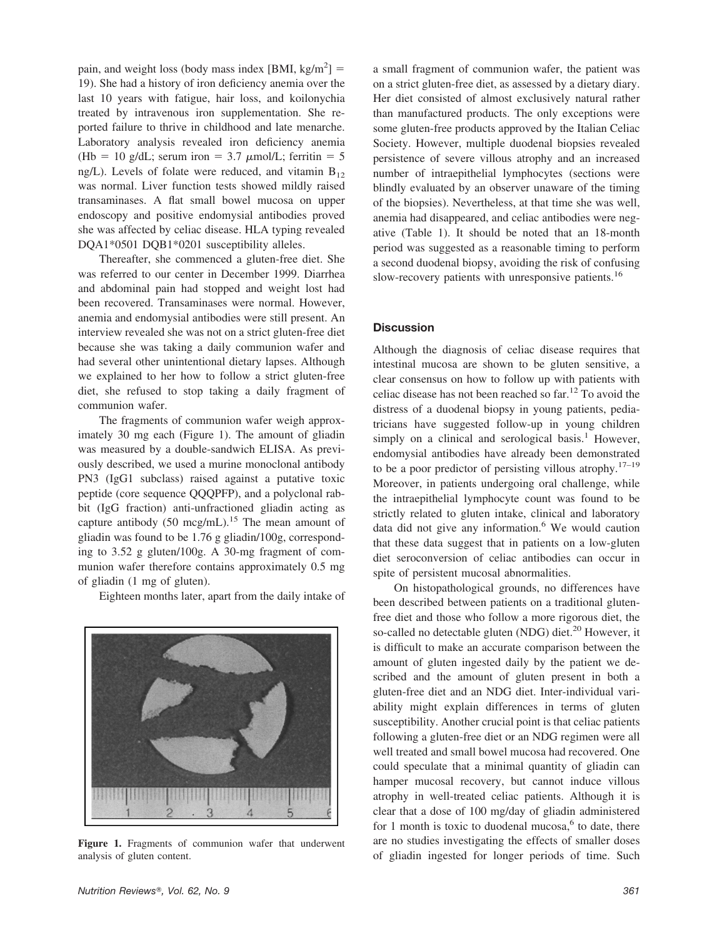pain, and weight loss (body mass index [BMI, kg/m<sup>2</sup>] = 19). She had a history of iron deficiency anemia over the last 10 years with fatigue, hair loss, and koilonychia treated by intravenous iron supplementation. She reported failure to thrive in childhood and late menarche. Laboratory analysis revealed iron deficiency anemia (Hb = 10 g/dL; serum iron = 3.7  $\mu$ mol/L; ferritin = 5 ng/L). Levels of folate were reduced, and vitamin  $B_{12}$ was normal. Liver function tests showed mildly raised transaminases. A flat small bowel mucosa on upper endoscopy and positive endomysial antibodies proved she was affected by celiac disease. HLA typing revealed DQA1\*0501 DQB1\*0201 susceptibility alleles.

Thereafter, she commenced a gluten-free diet. She was referred to our center in December 1999. Diarrhea and abdominal pain had stopped and weight lost had been recovered. Transaminases were normal. However, anemia and endomysial antibodies were still present. An interview revealed she was not on a strict gluten-free diet because she was taking a daily communion wafer and had several other unintentional dietary lapses. Although we explained to her how to follow a strict gluten-free diet, she refused to stop taking a daily fragment of communion wafer.

The fragments of communion wafer weigh approximately 30 mg each (Figure 1). The amount of gliadin was measured by a double-sandwich ELISA. As previously described, we used a murine monoclonal antibody PN3 (IgG1 subclass) raised against a putative toxic peptide (core sequence QQQPFP), and a polyclonal rabbit (IgG fraction) anti-unfractioned gliadin acting as capture antibody (50 mcg/mL).<sup>15</sup> The mean amount of gliadin was found to be 1.76 g gliadin/100g, corresponding to 3.52 g gluten/100g. A 30-mg fragment of communion wafer therefore contains approximately 0.5 mg of gliadin (1 mg of gluten).

Eighteen months later, apart from the daily intake of



**Figure 1.** Fragments of communion wafer that underwent analysis of gluten content.

a small fragment of communion wafer, the patient was on a strict gluten-free diet, as assessed by a dietary diary. Her diet consisted of almost exclusively natural rather than manufactured products. The only exceptions were some gluten-free products approved by the Italian Celiac Society. However, multiple duodenal biopsies revealed persistence of severe villous atrophy and an increased number of intraepithelial lymphocytes (sections were blindly evaluated by an observer unaware of the timing of the biopsies). Nevertheless, at that time she was well, anemia had disappeared, and celiac antibodies were negative (Table 1). It should be noted that an 18-month period was suggested as a reasonable timing to perform a second duodenal biopsy, avoiding the risk of confusing slow-recovery patients with unresponsive patients.<sup>16</sup>

## **Discussion**

Although the diagnosis of celiac disease requires that intestinal mucosa are shown to be gluten sensitive, a clear consensus on how to follow up with patients with celiac disease has not been reached so  $far<sup>12</sup>$  To avoid the distress of a duodenal biopsy in young patients, pediatricians have suggested follow-up in young children simply on a clinical and serological basis. $<sup>1</sup>$  However,</sup> endomysial antibodies have already been demonstrated to be a poor predictor of persisting villous atrophy.<sup>17–19</sup> Moreover, in patients undergoing oral challenge, while the intraepithelial lymphocyte count was found to be strictly related to gluten intake, clinical and laboratory data did not give any information. $6$  We would caution that these data suggest that in patients on a low-gluten diet seroconversion of celiac antibodies can occur in spite of persistent mucosal abnormalities.

On histopathological grounds, no differences have been described between patients on a traditional glutenfree diet and those who follow a more rigorous diet, the so-called no detectable gluten (NDG) diet.<sup>20</sup> However, it is difficult to make an accurate comparison between the amount of gluten ingested daily by the patient we described and the amount of gluten present in both a gluten-free diet and an NDG diet. Inter-individual variability might explain differences in terms of gluten susceptibility. Another crucial point is that celiac patients following a gluten-free diet or an NDG regimen were all well treated and small bowel mucosa had recovered. One could speculate that a minimal quantity of gliadin can hamper mucosal recovery, but cannot induce villous atrophy in well-treated celiac patients. Although it is clear that a dose of 100 mg/day of gliadin administered for 1 month is toxic to duodenal mucosa, $6$  to date, there are no studies investigating the effects of smaller doses of gliadin ingested for longer periods of time. Such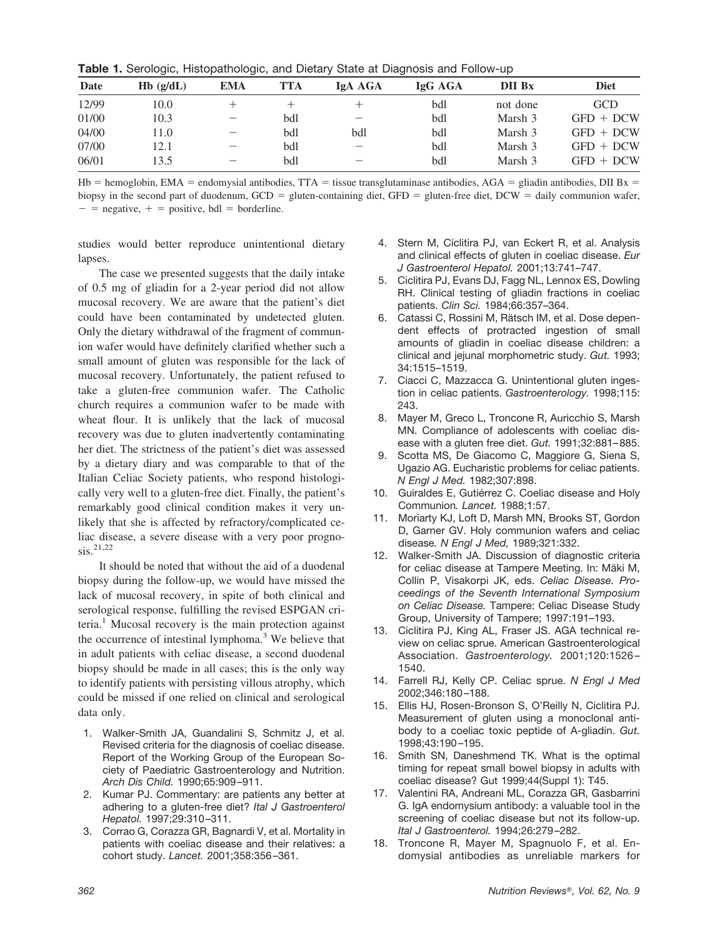|  |  | Table 1. Serologic, Histopathologic, and Dietary State at Diagnosis and Follow-up |  |  |  |  |
|--|--|-----------------------------------------------------------------------------------|--|--|--|--|
|--|--|-----------------------------------------------------------------------------------|--|--|--|--|

| Date  | $Hb$ (g/dL) | EMA                             | <b>TTA</b> | IgA AGA                         | IgG AGA | DII Bx   | <b>Diet</b> |
|-------|-------------|---------------------------------|------------|---------------------------------|---------|----------|-------------|
| 12/99 | 10.0        |                                 |            |                                 | bdl     | not done | <b>GCD</b>  |
| 01/00 | 10.3        |                                 | bdl        |                                 | bdl     | Marsh 3  | $GFD + DCW$ |
| 04/00 | 11.0        |                                 | bdl        | bdl                             | bdl     | Marsh 3  | $GFD + DCW$ |
| 07/00 | 12.1        | $\hspace{0.1mm}-\hspace{0.1mm}$ | bdl        | $\hspace{0.1mm}-\hspace{0.1mm}$ | bdl     | Marsh 3  | $GFD + DCW$ |
| 06/01 | 13.5        |                                 | bdl        |                                 | bdl     | Marsh 3  | $GFD + DCW$ |

Hb = hemoglobin, EMA = endomysial antibodies, TTA = tissue transglutaminase antibodies, AGA = gliadin antibodies, DII Bx = biopsy in the second part of duodenum,  $GCD =$  gluten-containing diet,  $GFD =$  gluten-free diet,  $DCW =$  daily communion wafer,  $-$  = negative,  $+$  = positive, bdl = borderline.

studies would better reproduce unintentional dietary lapses.

The case we presented suggests that the daily intake of 0.5 mg of gliadin for a 2-year period did not allow mucosal recovery. We are aware that the patient's diet could have been contaminated by undetected gluten. Only the dietary withdrawal of the fragment of communion wafer would have definitely clarified whether such a small amount of gluten was responsible for the lack of mucosal recovery. Unfortunately, the patient refused to take a gluten-free communion wafer. The Catholic church requires a communion wafer to be made with wheat flour. It is unlikely that the lack of mucosal recovery was due to gluten inadvertently contaminating her diet. The strictness of the patient's diet was assessed by a dietary diary and was comparable to that of the Italian Celiac Society patients, who respond histologically very well to a gluten-free diet. Finally, the patient's remarkably good clinical condition makes it very unlikely that she is affected by refractory/complicated celiac disease, a severe disease with a very poor progno- $\sin^{21,22}$ 

It should be noted that without the aid of a duodenal biopsy during the follow-up, we would have missed the lack of mucosal recovery, in spite of both clinical and serological response, fulfilling the revised ESPGAN criteria.<sup>1</sup> Mucosal recovery is the main protection against the occurrence of intestinal lymphoma.<sup>3</sup> We believe that in adult patients with celiac disease, a second duodenal biopsy should be made in all cases; this is the only way to identify patients with persisting villous atrophy, which could be missed if one relied on clinical and serological data only.

- 1. Walker-Smith JA, Guandalini S, Schmitz J, et al. Revised criteria for the diagnosis of coeliac disease. Report of the Working Group of the European Society of Paediatric Gastroenterology and Nutrition. *Arch Dis Child.* 1990;65:909–911.
- 2. Kumar PJ. Commentary: are patients any better at adhering to a gluten-free diet? *Ital J Gastroenterol Hepatol.* 1997;29:310–311.
- 3. Corrao G, Corazza GR, Bagnardi V, et al. Mortality in patients with coeliac disease and their relatives: a cohort study. *Lancet.* 2001;358:356–361.
- 4. Stern M, Ciclitira PJ, van Eckert R, et al. Analysis and clinical effects of gluten in coeliac disease. *Eur J Gastroenterol Hepatol.* 2001;13:741–747.
- 5. Ciclitira PJ, Evans DJ, Fagg NL, Lennox ES, Dowling RH. Clinical testing of gliadin fractions in coeliac patients. *Clin Sci.* 1984;66:357–364.
- 6. Catassi C, Rossini M, Rätsch IM, et al. Dose dependent effects of protracted ingestion of small amounts of gliadin in coeliac disease children: a clinical and jejunal morphometric study. *Gut.* 1993; 34:1515–1519.
- 7. Ciacci C, Mazzacca G. Unintentional gluten ingestion in celiac patients. *Gastroenterology.* 1998;115: 243.
- 8. Mayer M, Greco L, Troncone R, Auricchio S, Marsh MN. Compliance of adolescents with coeliac disease with a gluten free diet. *Gut.* 1991;32:881–885.
- 9. Scotta MS, De Giacomo C, Maggiore G, Siena S, Ugazio AG. Eucharistic problems for celiac patients. *N Engl J Med.* 1982;307:898.
- 10. Guiraldes E, Gutiérrez C. Coeliac disease and Holy Communion*. Lancet.* 1988;1:57.
- 11. Moriarty KJ, Loft D, Marsh MN, Brooks ST, Gordon D, Garner GV. Holy communion wafers and celiac disease*. N Engl J Med,* 1989;321:332.
- 12. Walker-Smith JA. Discussion of diagnostic criteria for celiac disease at Tampere Meeting. In: Mäki M, Collin P, Visakorpi JK, eds. *Celiac Disease. Proceedings of the Seventh International Symposium on Celiac Disease.* Tampere: Celiac Disease Study Group, University of Tampere; 1997:191–193.
- 13. Ciclitira PJ, King AL, Fraser JS. AGA technical review on celiac sprue. American Gastroenterological Association. *Gastroenterology.* 2001;120:1526 – 1540.
- 14. Farrell RJ, Kelly CP. Celiac sprue. *N Engl J Med* 2002;346:180–188.
- 15. Ellis HJ, Rosen-Bronson S, O'Reilly N, Ciclitira PJ. Measurement of gluten using a monoclonal antibody to a coeliac toxic peptide of A-gliadin. *Gut.* 1998;43:190–195.
- 16. Smith SN, Daneshmend TK. What is the optimal timing for repeat small bowel biopsy in adults with coeliac disease? Gut 1999;44(Suppl 1): T45.
- 17. Valentini RA, Andreani ML, Corazza GR, Gasbarrini G. IgA endomysium antibody: a valuable tool in the screening of coeliac disease but not its follow-up. *Ital J Gastroenterol.* 1994;26:279–282.
- 18. Troncone R, Mayer M, Spagnuolo F, et al. Endomysial antibodies as unreliable markers for